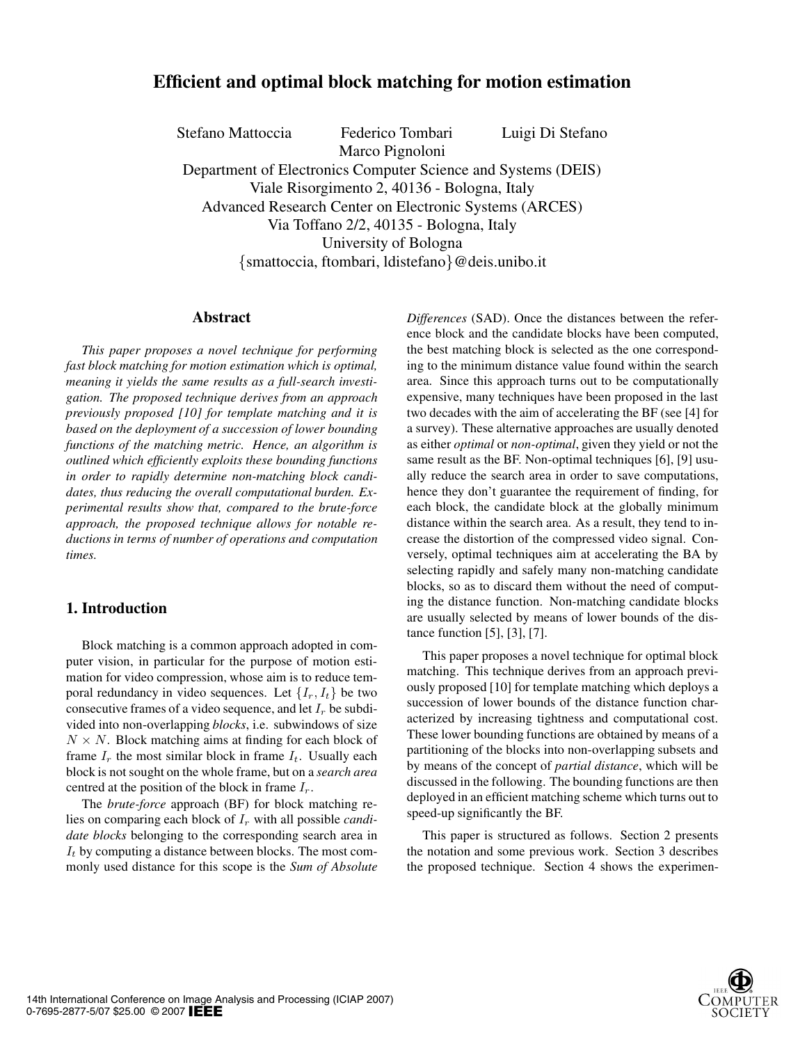## **Efficient and optimal block matching for motion estimation**

Stefano Mattoccia Federico Tombari Luigi Di Stefano Marco Pignoloni Department of Electronics Computer Science and Systems (DEIS) Viale Risorgimento 2, 40136 - Bologna, Italy Advanced Research Center on Electronic Systems (ARCES) Via Toffano 2/2, 40135 - Bologna, Italy University of Bologna {smattoccia, ftombari, ldistefano}@deis.unibo.it

#### **Abstract**

*This paper proposes a novel technique for performing fast block matching for motion estimation which is optimal, meaning it yields the same results as a full-search investigation. The proposed technique derives from an approach previously proposed [10] for template matching and it is based on the deployment of a succession of lower bounding functions of the matching metric. Hence, an algorithm is outlined which efficiently exploits these bounding functions in order to rapidly determine non-matching block candidates, thus reducing the overall computational burden. Experimental results show that, compared to the brute-force approach, the proposed technique allows for notable reductions in terms of number of operations and computation times.*

## **1. Introduction**

Block matching is a common approach adopted in computer vision, in particular for the purpose of motion estimation for video compression, whose aim is to reduce temporal redundancy in video sequences. Let  $\{I_r, I_t\}$  be two consecutive frames of a video sequence, and let I*<sup>r</sup>* be subdivided into non-overlapping *blocks*, i.e. subwindows of size  $N \times N$ . Block matching aims at finding for each block of frame  $I_r$  the most similar block in frame  $I_t$ . Usually each block is not sought on the whole frame, but on a *search area* centred at the position of the block in frame I*r*.

The *brute-force* approach (BF) for block matching relies on comparing each block of I*<sup>r</sup>* with all possible *candidate blocks* belonging to the corresponding search area in I*<sup>t</sup>* by computing a distance between blocks. The most commonly used distance for this scope is the *Sum of Absolute* *Differences* (SAD). Once the distances between the reference block and the candidate blocks have been computed, the best matching block is selected as the one corresponding to the minimum distance value found within the search area. Since this approach turns out to be computationally expensive, many techniques have been proposed in the last two decades with the aim of accelerating the BF (see [4] for a survey). These alternative approaches are usually denoted as either *optimal* or *non-optimal*, given they yield or not the same result as the BF. Non-optimal techniques [6], [9] usually reduce the search area in order to save computations, hence they don't guarantee the requirement of finding, for each block, the candidate block at the globally minimum distance within the search area. As a result, they tend to increase the distortion of the compressed video signal. Conversely, optimal techniques aim at accelerating the BA by selecting rapidly and safely many non-matching candidate blocks, so as to discard them without the need of computing the distance function. Non-matching candidate blocks are usually selected by means of lower bounds of the distance function [5], [3], [7].

This paper proposes a novel technique for optimal block matching. This technique derives from an approach previously proposed [10] for template matching which deploys a succession of lower bounds of the distance function characterized by increasing tightness and computational cost. These lower bounding functions are obtained by means of a partitioning of the blocks into non-overlapping subsets and by means of the concept of *partial distance*, which will be discussed in the following. The bounding functions are then deployed in an efficient matching scheme which turns out to speed-up significantly the BF.

This paper is structured as follows. Section 2 presents the notation and some previous work. Section 3 describes the proposed technique. Section 4 shows the experimen-

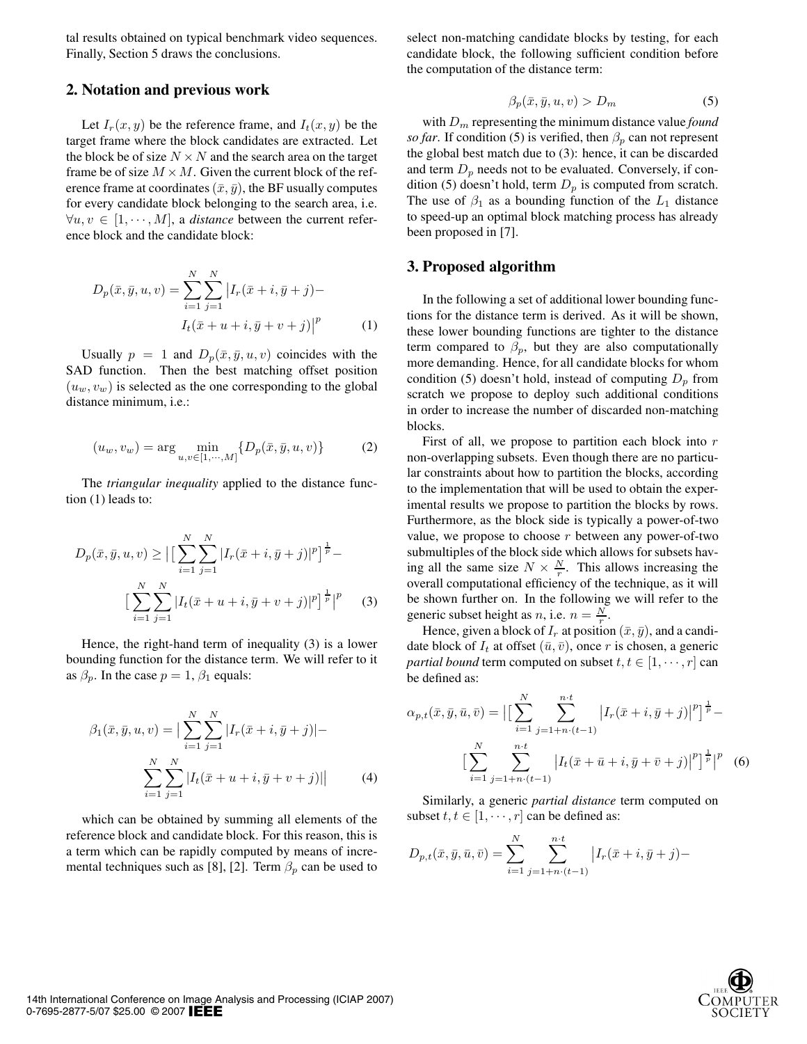tal results obtained on typical benchmark video sequences. Finally, Section 5 draws the conclusions.

#### **2. Notation and previous work**

Let  $I_r(x, y)$  be the reference frame, and  $I_t(x, y)$  be the target frame where the block candidates are extracted. Let the block be of size  $N \times N$  and the search area on the target frame be of size  $M \times M$ . Given the current block of the reference frame at coordinates  $(\bar{x}, \bar{y})$ , the BF usually computes for every candidate block belonging to the search area, i.e.  $\forall u, v \in [1, \dots, M]$ , a *distance* between the current reference block and the candidate block:

$$
D_p(\bar{x}, \bar{y}, u, v) = \sum_{i=1}^{N} \sum_{j=1}^{N} \left| I_r(\bar{x} + i, \bar{y} + j) - I_t(\bar{x} + u + i, \bar{y} + v + j) \right|^p
$$
 (1)

Usually  $p = 1$  and  $D_p(\bar{x}, \bar{y}, u, v)$  coincides with the SAD function. Then the best matching offset position  $(u_w, v_w)$  is selected as the one corresponding to the global distance minimum, i.e.:

$$
(u_w, v_w) = \arg \min_{u, v \in [1, \cdots, M]} \{D_p(\bar{x}, \bar{y}, u, v)\}
$$
 (2)

The *triangular inequality* applied to the distance function (1) leads to:

$$
D_p(\bar{x}, \bar{y}, u, v) \ge \left| \left[ \sum_{i=1}^N \sum_{j=1}^N |I_r(\bar{x} + i, \bar{y} + j)|^p \right]^{\frac{1}{p}} - \right|
$$

$$
\left[ \sum_{i=1}^N \sum_{j=1}^N |I_t(\bar{x} + u + i, \bar{y} + v + j)|^p \right]^{\frac{1}{p}} \right|^p \tag{3}
$$

Hence, the right-hand term of inequality (3) is a lower bounding function for the distance term. We will refer to it as  $\beta_p$ . In the case  $p = 1$ ,  $\beta_1$  equals:

$$
\beta_1(\bar{x}, \bar{y}, u, v) = \Big| \sum_{i=1}^{N} \sum_{j=1}^{N} |I_r(\bar{x} + i, \bar{y} + j)| -
$$

$$
\sum_{i=1}^{N} \sum_{j=1}^{N} |I_t(\bar{x} + u + i, \bar{y} + v + j)| \Big|
$$
(4)

which can be obtained by summing all elements of the reference block and candidate block. For this reason, this is a term which can be rapidly computed by means of incremental techniques such as [8], [2]. Term  $\beta_p$  can be used to

select non-matching candidate blocks by testing, for each candidate block, the following sufficient condition before the computation of the distance term:

$$
\beta_p(\bar{x}, \bar{y}, u, v) > D_m \tag{5}
$$

with D*<sup>m</sup>* representing the minimum distance value *found so far*. If condition (5) is verified, then  $\beta_p$  can not represent the global best match due to (3): hence, it can be discarded and term  $D_p$  needs not to be evaluated. Conversely, if condition (5) doesn't hold, term D*<sup>p</sup>* is computed from scratch. The use of  $\beta_1$  as a bounding function of the  $L_1$  distance to speed-up an optimal block matching process has already been proposed in [7].

#### **3. Proposed algorithm**

In the following a set of additional lower bounding functions for the distance term is derived. As it will be shown, these lower bounding functions are tighter to the distance term compared to  $\beta_p$ , but they are also computationally more demanding. Hence, for all candidate blocks for whom condition (5) doesn't hold, instead of computing  $D_p$  from scratch we propose to deploy such additional conditions in order to increase the number of discarded non-matching blocks.

First of all, we propose to partition each block into  $r$ non-overlapping subsets. Even though there are no particular constraints about how to partition the blocks, according to the implementation that will be used to obtain the experimental results we propose to partition the blocks by rows. Furthermore, as the block side is typically a power-of-two value, we propose to choose  $r$  between any power-of-two submultiples of the block side which allows for subsets having all the same size  $N \times \frac{N}{r}$ . This allows increasing the overall computational efficiency of the technique, as it will be shown further on. In the following we will refer to the generic subset height as *n*, i.e.  $n = \frac{N}{r}$ .<br>Hence given a block of *I* at position

Hence, given a block of  $I_r$  at position  $(\bar{x}, \bar{y})$ , and a candidate block of  $I_t$  at offset  $(\bar{u}, \bar{v})$ , once r is chosen, a generic *partial bound* term computed on subset  $t, t \in [1, \dots, r]$  can be defined as:

$$
\alpha_{p,t}(\bar{x}, \bar{y}, \bar{u}, \bar{v}) = \Big| \Big[ \sum_{i=1}^{N} \sum_{j=1+n \cdot (t-1)}^{n \cdot t} \left| I_r(\bar{x} + i, \bar{y} + j) \right|^p \Big]^{\frac{1}{p}} - \Big|
$$

$$
\Big[ \sum_{i=1}^{N} \sum_{j=1+n \cdot (t-1)}^{n \cdot t} \left| I_t(\bar{x} + \bar{u} + i, \bar{y} + \bar{v} + j) \right|^p \Big]^{\frac{1}{p}} \Big|^p \quad (6)
$$

Similarly, a generic *partial distance* term computed on subset  $t, t \in [1, \dots, r]$  can be defined as:

$$
D_{p,t}(\bar{x}, \bar{y}, \bar{u}, \bar{v}) = \sum_{i=1}^{N} \sum_{j=1+n \cdot (t-1)}^{n \cdot t} |I_r(\bar{x} + i, \bar{y} + j) -
$$

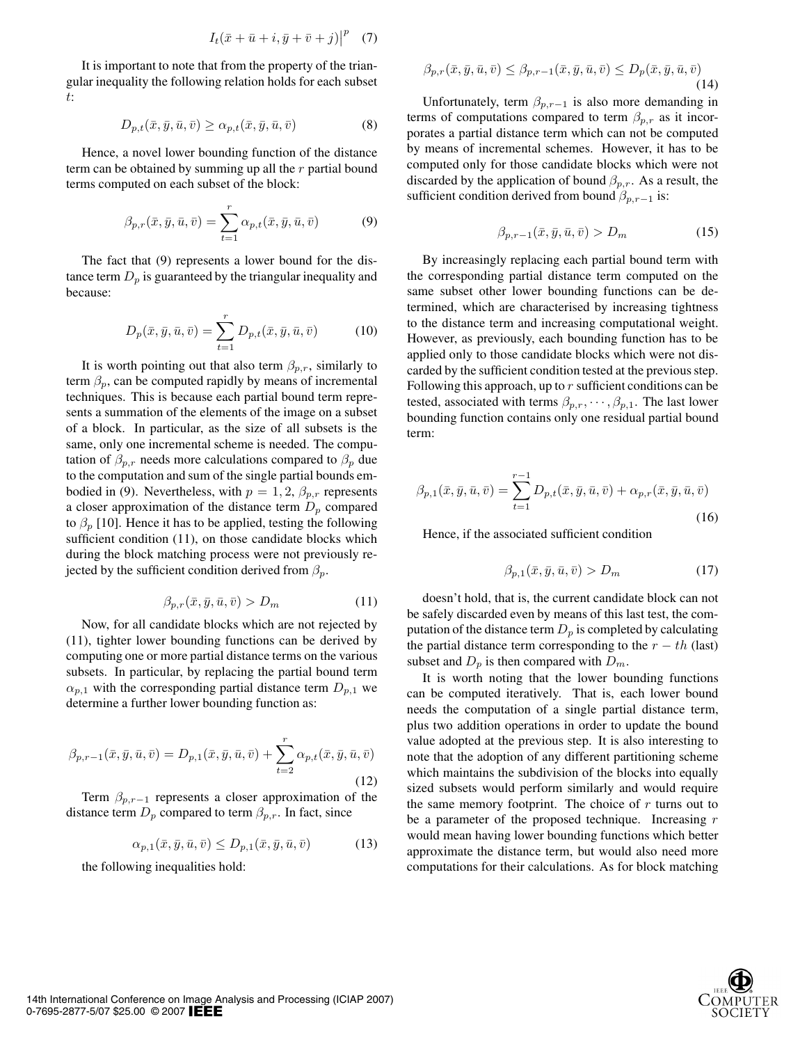$$
I_t(\bar{x}+\bar{u}+i,\bar{y}+\bar{v}+j)\big|^p \quad (7)
$$

It is important to note that from the property of the triangular inequality the following relation holds for each subset t:

$$
D_{p,t}(\bar{x}, \bar{y}, \bar{u}, \bar{v}) \ge \alpha_{p,t}(\bar{x}, \bar{y}, \bar{u}, \bar{v})
$$
(8)

Hence, a novel lower bounding function of the distance term can be obtained by summing up all the r partial bound terms computed on each subset of the block:

$$
\beta_{p,r}(\bar{x}, \bar{y}, \bar{u}, \bar{v}) = \sum_{t=1}^r \alpha_{p,t}(\bar{x}, \bar{y}, \bar{u}, \bar{v}) \tag{9}
$$

The fact that (9) represents a lower bound for the distance term  $D_p$  is guaranteed by the triangular inequality and because:

$$
D_p(\bar{x}, \bar{y}, \bar{u}, \bar{v}) = \sum_{t=1}^r D_{p,t}(\bar{x}, \bar{y}, \bar{u}, \bar{v})
$$
 (10)

It is worth pointing out that also term  $\beta_{p,r}$ , similarly to term  $\beta_p$ , can be computed rapidly by means of incremental techniques. This is because each partial bound term represents a summation of the elements of the image on a subset of a block. In particular, as the size of all subsets is the same, only one incremental scheme is needed. The computation of  $\beta_{p,r}$  needs more calculations compared to  $\beta_p$  due to the computation and sum of the single partial bounds embodied in (9). Nevertheless, with  $p = 1, 2, \beta_{p,r}$  represents a closer approximation of the distance term  $D_p$  compared to  $\beta_p$  [10]. Hence it has to be applied, testing the following sufficient condition (11), on those candidate blocks which during the block matching process were not previously rejected by the sufficient condition derived from  $\beta_p$ .

$$
\beta_{p,r}(\bar{x}, \bar{y}, \bar{u}, \bar{v}) > D_m \tag{11}
$$

Now, for all candidate blocks which are not rejected by (11), tighter lower bounding functions can be derived by computing one or more partial distance terms on the various subsets. In particular, by replacing the partial bound term  $\alpha_{p,1}$  with the corresponding partial distance term  $D_{p,1}$  we determine a further lower bounding function as:

$$
\beta_{p,r-1}(\bar{x},\bar{y},\bar{u},\bar{v}) = D_{p,1}(\bar{x},\bar{y},\bar{u},\bar{v}) + \sum_{t=2}^{r} \alpha_{p,t}(\bar{x},\bar{y},\bar{u},\bar{v})
$$
\n(12)

Term  $\beta_{p,r-1}$  represents a closer approximation of the distance term  $D_p$  compared to term  $\beta_{p,r}$ . In fact, since

$$
\alpha_{p,1}(\bar{x}, \bar{y}, \bar{u}, \bar{v}) \le D_{p,1}(\bar{x}, \bar{y}, \bar{u}, \bar{v}) \tag{13}
$$

the following inequalities hold:

$$
\beta_{p,r}(\bar{x}, \bar{y}, \bar{u}, \bar{v}) \le \beta_{p,r-1}(\bar{x}, \bar{y}, \bar{u}, \bar{v}) \le D_p(\bar{x}, \bar{y}, \bar{u}, \bar{v})
$$
\n(14)

Unfortunately, term  $\beta_{p,r-1}$  is also more demanding in terms of computations compared to term  $\beta_{p,r}$  as it incorporates a partial distance term which can not be computed by means of incremental schemes. However, it has to be computed only for those candidate blocks which were not discarded by the application of bound  $\beta_{p,r}$ . As a result, the sufficient condition derived from bound  $\beta_{p,r-1}$  is:

$$
\beta_{p,r-1}(\bar{x},\bar{y},\bar{u},\bar{v}) > D_m \tag{15}
$$

By increasingly replacing each partial bound term with the corresponding partial distance term computed on the same subset other lower bounding functions can be determined, which are characterised by increasing tightness to the distance term and increasing computational weight. However, as previously, each bounding function has to be applied only to those candidate blocks which were not discarded by the sufficient condition tested at the previous step. Following this approach, up to  $r$  sufficient conditions can be tested, associated with terms  $\beta_{p,r}, \cdots, \beta_{p,1}$ . The last lower bounding function contains only one residual partial bound term:

$$
\beta_{p,1}(\bar{x}, \bar{y}, \bar{u}, \bar{v}) = \sum_{t=1}^{r-1} D_{p,t}(\bar{x}, \bar{y}, \bar{u}, \bar{v}) + \alpha_{p,r}(\bar{x}, \bar{y}, \bar{u}, \bar{v})
$$
\n(16)

Hence, if the associated sufficient condition

$$
\beta_{p,1}(\bar{x}, \bar{y}, \bar{u}, \bar{v}) > D_m \tag{17}
$$

doesn't hold, that is, the current candidate block can not be safely discarded even by means of this last test, the computation of the distance term  $D_p$  is completed by calculating the partial distance term corresponding to the  $r - th$  (last) subset and  $D_p$  is then compared with  $D_m$ .

It is worth noting that the lower bounding functions can be computed iteratively. That is, each lower bound needs the computation of a single partial distance term, plus two addition operations in order to update the bound value adopted at the previous step. It is also interesting to note that the adoption of any different partitioning scheme which maintains the subdivision of the blocks into equally sized subsets would perform similarly and would require the same memory footprint. The choice of  $r$  turns out to be a parameter of the proposed technique. Increasing r would mean having lower bounding functions which better approximate the distance term, but would also need more computations for their calculations. As for block matching

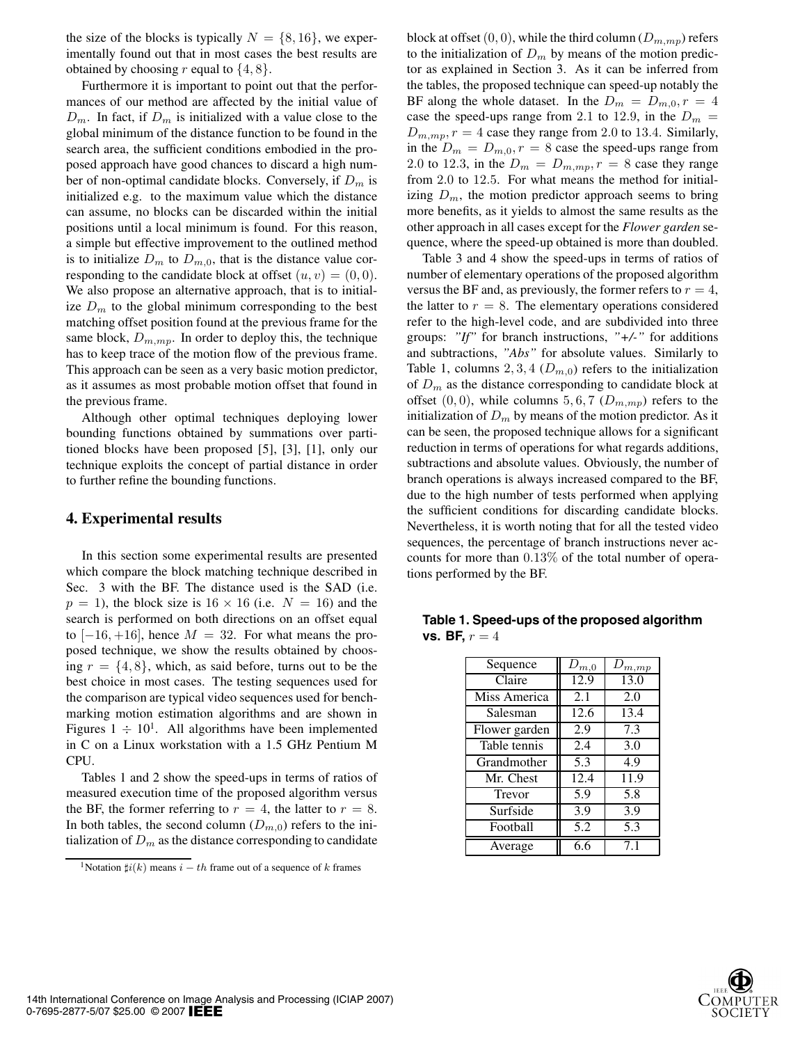the size of the blocks is typically  $N = \{8, 16\}$ , we experimentally found out that in most cases the best results are obtained by choosing r equal to  $\{4, 8\}.$ 

Furthermore it is important to point out that the performances of our method are affected by the initial value of  $D_m$ . In fact, if  $D_m$  is initialized with a value close to the global minimum of the distance function to be found in the search area, the sufficient conditions embodied in the proposed approach have good chances to discard a high number of non-optimal candidate blocks. Conversely, if D*<sup>m</sup>* is initialized e.g. to the maximum value which the distance can assume, no blocks can be discarded within the initial positions until a local minimum is found. For this reason, a simple but effective improvement to the outlined method is to initialize  $D_m$  to  $D_{m,0}$ , that is the distance value corresponding to the candidate block at offset  $(u, v) = (0, 0)$ . We also propose an alternative approach, that is to initialize  $D_m$  to the global minimum corresponding to the best matching offset position found at the previous frame for the same block,  $D_{m,mp}$ . In order to deploy this, the technique has to keep trace of the motion flow of the previous frame. This approach can be seen as a very basic motion predictor, as it assumes as most probable motion offset that found in the previous frame.

Although other optimal techniques deploying lower bounding functions obtained by summations over partitioned blocks have been proposed [5], [3], [1], only our technique exploits the concept of partial distance in order to further refine the bounding functions.

#### **4. Experimental results**

In this section some experimental results are presented which compare the block matching technique described in Sec. 3 with the BF. The distance used is the SAD (i.e.  $p = 1$ ), the block size is  $16 \times 16$  (i.e.  $N = 16$ ) and the search is performed on both directions on an offset equal to  $[-16, +16]$ , hence  $M = 32$ . For what means the proposed technique, we show the results obtained by choosing  $r = \{4, 8\}$ , which, as said before, turns out to be the best choice in most cases. The testing sequences used for the comparison are typical video sequences used for benchmarking motion estimation algorithms and are shown in Figures  $1 \div 10^{1}$ . All algorithms have been implemented in C on a Linux workstation with a 1.5 GHz Pentium M CPU.

Tables 1 and 2 show the speed-ups in terms of ratios of measured execution time of the proposed algorithm versus the BF, the former referring to  $r = 4$ , the latter to  $r = 8$ . In both tables, the second column  $(D_{m,0})$  refers to the initialization of  $D_m$  as the distance corresponding to candidate

block at offset  $(0, 0)$ , while the third column  $(D_{m,mp})$  refers to the initialization of  $D_m$  by means of the motion predictor as explained in Section 3. As it can be inferred from the tables, the proposed technique can speed-up notably the BF along the whole dataset. In the  $D_m = D_{m,0}$ ,  $r = 4$ case the speed-ups range from 2.1 to 12.9, in the  $D_m =$  $D_{m,mp}$ ,  $r = 4$  case they range from 2.0 to 13.4. Similarly, in the  $D_m = D_{m,0}, r = 8$  case the speed-ups range from 2.0 to 12.3, in the  $D_m = D_{m,mp}$ ,  $r = 8$  case they range from 2.0 to 12.5. For what means the method for initializing  $D_m$ , the motion predictor approach seems to bring more benefits, as it yields to almost the same results as the other approach in all cases except for the *Flower garden* sequence, where the speed-up obtained is more than doubled.

Table 3 and 4 show the speed-ups in terms of ratios of number of elementary operations of the proposed algorithm versus the BF and, as previously, the former refers to  $r = 4$ , the latter to  $r = 8$ . The elementary operations considered refer to the high-level code, and are subdivided into three groups: *"If"* for branch instructions, *"+/-"* for additions and subtractions, *"Abs"* for absolute values. Similarly to Table 1, columns 2, 3, 4  $(D_{m,0})$  refers to the initialization of D*<sup>m</sup>* as the distance corresponding to candidate block at offset  $(0, 0)$ , while columns 5, 6, 7  $(D_{m, mp})$  refers to the initialization of  $D_m$  by means of the motion predictor. As it can be seen, the proposed technique allows for a significant reduction in terms of operations for what regards additions, subtractions and absolute values. Obviously, the number of branch operations is always increased compared to the BF, due to the high number of tests performed when applying the sufficient conditions for discarding candidate blocks. Nevertheless, it is worth noting that for all the tested video sequences, the percentage of branch instructions never accounts for more than 0.13% of the total number of operations performed by the BF.

| Sequence      | $D_{m,0}$ | $D_{m,mp}$        |
|---------------|-----------|-------------------|
| Claire        | 12.9      | $\overline{13.0}$ |
| Miss America  | 2.1       | 2.0               |
| Salesman      | 12.6      | 13.4              |
| Flower garden | 2.9       | 7.3               |
| Table tennis  | 2.4       | 3.0               |
| Grandmother   | 5.3       | 4.9               |
| Mr. Chest     | 12.4      | 11.9              |
| Trevor        | 5.9       | 5.8               |
| Surfside      | 3.9       | 3.9               |
| Football      | 5.2       | 5.3               |
| Average       | 6.6       | 7.1               |

**Table 1. Speed-ups of the proposed algorithm vs. BF,**  $r = 4$ 



<sup>&</sup>lt;sup>1</sup>Notation  $\sharp i(k)$  means  $i - th$  frame out of a sequence of k frames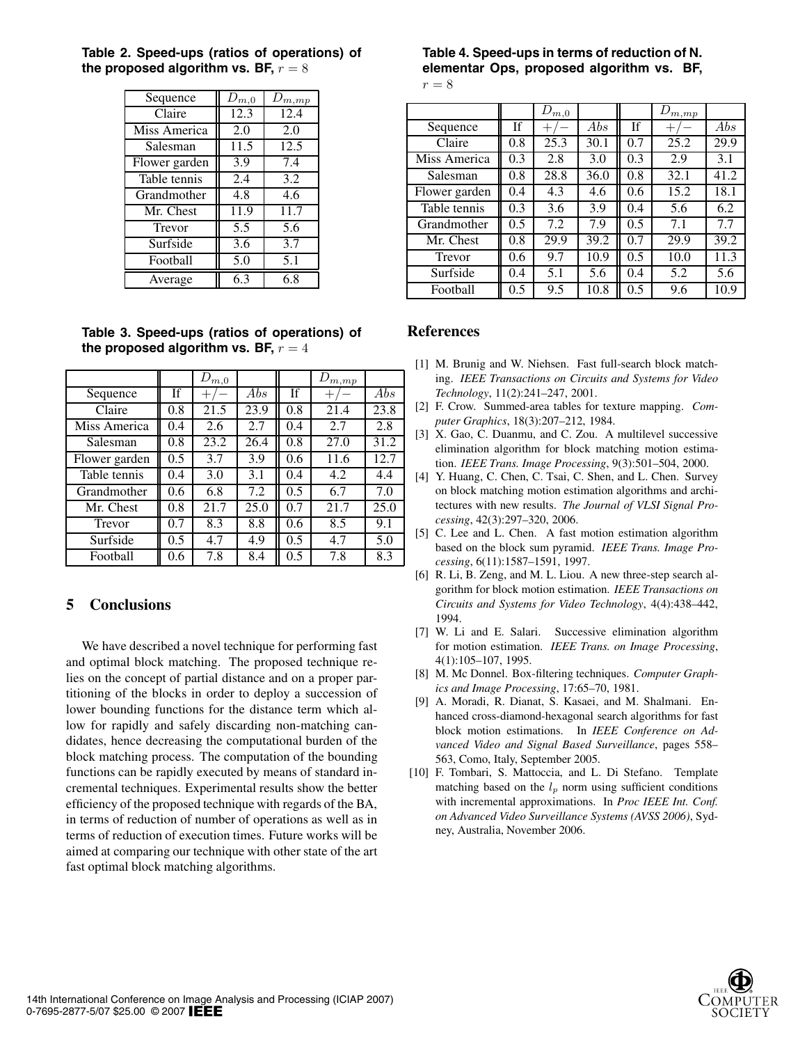| Sequence      | $D_{m,0}$ | $D_{m,\underline{mp}}$ |
|---------------|-----------|------------------------|
| Claire        | 12.3      | 12.4                   |
| Miss America  | 2.0       | 2.0                    |
| Salesman      | 11.5      | 12.5                   |
| Flower garden | 3.9       | 7.4                    |
| Table tennis  | 2.4       | 3.2                    |
| Grandmother   | 4.8       | 4.6                    |
| Mr. Chest     | 11.9      | 11.7                   |
| Trevor        | 5.5       | 5.6                    |
| Surfside      | 3.6       | 3.7                    |
| Football      | 5.0       | 5.1                    |
| Average       | 6.3       | 6.8                    |

**Table 2. Speed-ups (ratios of operations) of** the proposed algorithm vs. BF,  $r = 8$ 

**Table 3. Speed-ups (ratios of operations) of** the proposed algorithm vs. BF,  $r = 4$ 

|               |           | $D_{m,0}$ |      |           | $D_{m,\underline{mp}}$ |      |
|---------------|-----------|-----------|------|-----------|------------------------|------|
| Sequence      | <b>If</b> |           | Abs  | <b>If</b> |                        | Abs  |
| Claire        | 0.8       | 21.5      | 23.9 | 0.8       | 21.4                   | 23.8 |
| Miss America  | 0.4       | 2.6       | 2.7  | 0.4       | 2.7                    | 2.8  |
| Salesman      | 0.8       | 23.2      | 26.4 | 0.8       | 27.0                   | 31.2 |
| Flower garden | 0.5       | 3.7       | 3.9  | 0.6       | 11.6                   | 12.7 |
| Table tennis  | 0.4       | 3.0       | 3.1  | 0.4       | 4.2                    | 4.4  |
| Grandmother   | 0.6       | 6.8       | 7.2  | 0.5       | 6.7                    | 7.0  |
| Mr. Chest     | 0.8       | 21.7      | 25.0 | 0.7       | 21.7                   | 25.0 |
| Trevor        | 0.7       | 8.3       | 8.8  | 0.6       | 8.5                    | 9.1  |
| Surfside      | 0.5       | 4.7       | 4.9  | 0.5       | 4.7                    | 5.0  |
| Football      | 0.6       | 7.8       | 8.4  | 0.5       | 7.8                    | 8.3  |

## **5 Conclusions**

We have described a novel technique for performing fast and optimal block matching. The proposed technique relies on the concept of partial distance and on a proper partitioning of the blocks in order to deploy a succession of lower bounding functions for the distance term which allow for rapidly and safely discarding non-matching candidates, hence decreasing the computational burden of the block matching process. The computation of the bounding functions can be rapidly executed by means of standard incremental techniques. Experimental results show the better efficiency of the proposed technique with regards of the BA, in terms of reduction of number of operations as well as in terms of reduction of execution times. Future works will be aimed at comparing our technique with other state of the art fast optimal block matching algorithms.

# **Table 4. Speed-ups in terms of reduction of N. elementar Ops, proposed algorithm vs. BF,**

| ۰ | ۰. |  |
|---|----|--|
|   |    |  |

|               |     | $D_{m,0}$ |      |     | $D_{m,\underline{mp}}$ |      |
|---------------|-----|-----------|------|-----|------------------------|------|
| Sequence      | If  |           | Abs  | If  | $^+$                   | Abs  |
| Claire        | 0.8 | 25.3      | 30.1 | 0.7 | 25.2                   | 29.9 |
| Miss America  | 0.3 | 2.8       | 3.0  | 0.3 | 2.9                    | 3.1  |
| Salesman      | 0.8 | 28.8      | 36.0 | 0.8 | 32.1                   | 41.2 |
| Flower garden | 0.4 | 4.3       | 4.6  | 0.6 | 15.2                   | 18.1 |
| Table tennis  | 0.3 | 3.6       | 3.9  | 0.4 | 5.6                    | 6.2  |
| Grandmother   | 0.5 | 7.2       | 7.9  | 0.5 | 7.1                    | 7.7  |
| Mr. Chest     | 0.8 | 29.9      | 39.2 | 0.7 | 29.9                   | 39.2 |
| Trevor        | 0.6 | 9.7       | 10.9 | 0.5 | 10.0                   | 11.3 |
| Surfside      | 0.4 | 5.1       | 5.6  | 0.4 | 5.2                    | 5.6  |
| Football      | 0.5 | 9.5       | 10.8 | 0.5 | 9.6                    | 10.9 |

#### **References**

- [1] M. Brunig and W. Niehsen. Fast full-search block matching. *IEEE Transactions on Circuits and Systems for Video Technology*, 11(2):241–247, 2001.
- [2] F. Crow. Summed-area tables for texture mapping. *Computer Graphics*, 18(3):207–212, 1984.
- [3] X. Gao, C. Duanmu, and C. Zou. A multilevel successive elimination algorithm for block matching motion estimation. *IEEE Trans. Image Processing*, 9(3):501–504, 2000.
- [4] Y. Huang, C. Chen, C. Tsai, C. Shen, and L. Chen. Survey on block matching motion estimation algorithms and architectures with new results. *The Journal of VLSI Signal Processing*, 42(3):297–320, 2006.
- [5] C. Lee and L. Chen. A fast motion estimation algorithm based on the block sum pyramid. *IEEE Trans. Image Processing*, 6(11):1587–1591, 1997.
- [6] R. Li, B. Zeng, and M. L. Liou. A new three-step search algorithm for block motion estimation. *IEEE Transactions on Circuits and Systems for Video Technology*, 4(4):438–442, 1994.
- [7] W. Li and E. Salari. Successive elimination algorithm for motion estimation. *IEEE Trans. on Image Processing*, 4(1):105–107, 1995.
- [8] M. Mc Donnel. Box-filtering techniques. *Computer Graphics and Image Processing*, 17:65–70, 1981.
- [9] A. Moradi, R. Dianat, S. Kasaei, and M. Shalmani. Enhanced cross-diamond-hexagonal search algorithms for fast block motion estimations. In *IEEE Conference on Advanced Video and Signal Based Surveillance*, pages 558– 563, Como, Italy, September 2005.
- [10] F. Tombari, S. Mattoccia, and L. Di Stefano. Template matching based on the  $l_p$  norm using sufficient conditions with incremental approximations. In *Proc IEEE Int. Conf. on Advanced Video Surveillance Systems (AVSS 2006)*, Sydney, Australia, November 2006.